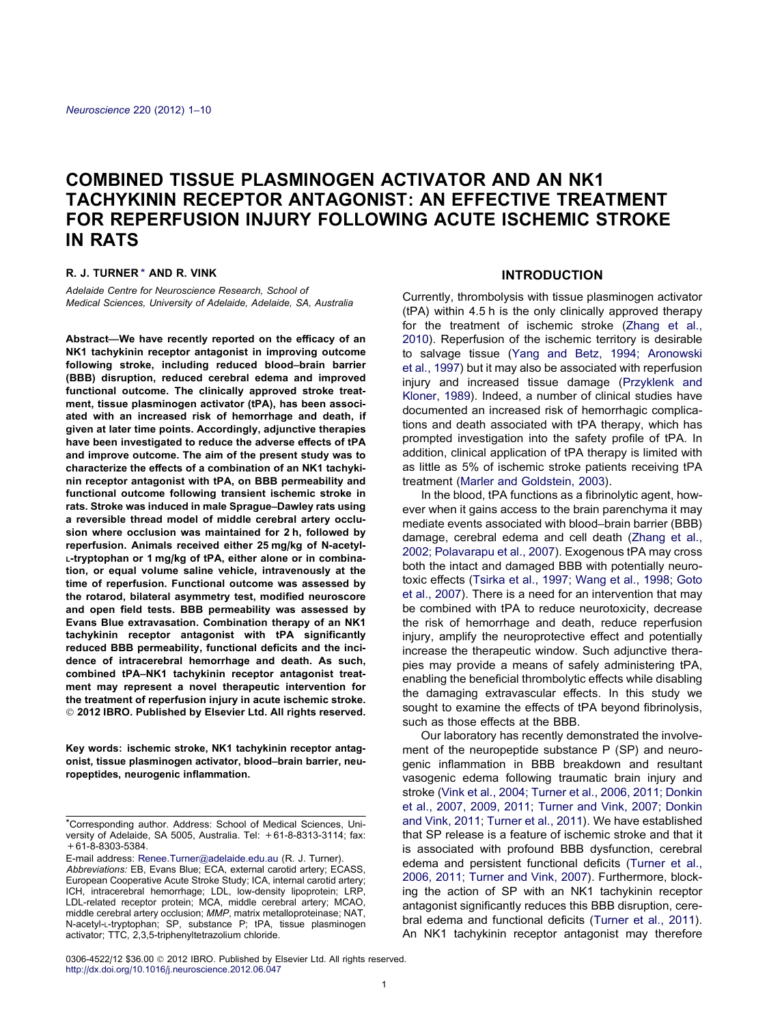# COMBINED TISSUE PLASMINOGEN ACTIVATOR AND AN NK1 TACHYKININ RECEPTOR ANTAGONIST: AN EFFECTIVE TREATMENT FOR REPERFUSION INJURY FOLLOWING ACUTE ISCHEMIC STROKE IN RATS

#### R. J. TURNER \* AND R. VINK

Adelaide Centre for Neuroscience Research, School of Medical Sciences, University of Adelaide, Adelaide, SA, Australia

Abstract—We have recently reported on the efficacy of an NK1 tachykinin receptor antagonist in improving outcome following stroke, including reduced blood–brain barrier (BBB) disruption, reduced cerebral edema and improved functional outcome. The clinically approved stroke treatment, tissue plasminogen activator (tPA), has been associated with an increased risk of hemorrhage and death, if given at later time points. Accordingly, adjunctive therapies have been investigated to reduce the adverse effects of tPA and improve outcome. The aim of the present study was to characterize the effects of a combination of an NK1 tachykinin receptor antagonist with tPA, on BBB permeability and functional outcome following transient ischemic stroke in rats. Stroke was induced in male Sprague–Dawley rats using a reversible thread model of middle cerebral artery occlusion where occlusion was maintained for 2 h, followed by reperfusion. Animals received either 25 mg/kg of N-acetyl-L-tryptophan or 1 mg/kg of tPA, either alone or in combination, or equal volume saline vehicle, intravenously at the time of reperfusion. Functional outcome was assessed by the rotarod, bilateral asymmetry test, modified neuroscore and open field tests. BBB permeability was assessed by Evans Blue extravasation. Combination therapy of an NK1 tachykinin receptor antagonist with tPA significantly reduced BBB permeability, functional deficits and the incidence of intracerebral hemorrhage and death. As such, combined tPA–NK1 tachykinin receptor antagonist treatment may represent a novel therapeutic intervention for the treatment of reperfusion injury in acute ischemic stroke. - 2012 IBRO. Published by Elsevier Ltd. All rights reserved.

Key words: ischemic stroke, NK1 tachykinin receptor antagonist, tissue plasminogen activator, blood–brain barrier, neuropeptides, neurogenic inflammation.

E-mail address: [Renee.Turner@adelaide.edu.au](mailto:Renee.Turner@adelaide.edu.au) (R. J. Turner).

# **INTRODUCTION**

Currently, thrombolysis with tissue plasminogen activator (tPA) within 4.5 h is the only clinically approved therapy for the treatment of ischemic stroke [\(Zhang et al.,](#page-9-0) [2010](#page-9-0)). Reperfusion of the ischemic territory is desirable to salvage tissue ([Yang and Betz, 1994; Aronowski](#page-8-0) [et al., 1997](#page-8-0)) but it may also be associated with reperfusion injury and increased tissue damage [\(Przyklenk and](#page-8-0) [Kloner, 1989\)](#page-8-0). Indeed, a number of clinical studies have documented an increased risk of hemorrhagic complications and death associated with tPA therapy, which has prompted investigation into the safety profile of tPA. In addition, clinical application of tPA therapy is limited with as little as 5% of ischemic stroke patients receiving tPA treatment ([Marler and Goldstein, 2003\)](#page-8-0).

In the blood, tPA functions as a fibrinolytic agent, however when it gains access to the brain parenchyma it may mediate events associated with blood–brain barrier (BBB) damage, cerebral edema and cell death ([Zhang et al.,](#page-9-0) [2002; Polavarapu et al., 2007\)](#page-9-0). Exogenous tPA may cross both the intact and damaged BBB with potentially neurotoxic effects [\(Tsirka et al., 1997; Wang et al., 1998; Goto](#page-8-0) [et al., 2007](#page-8-0)). There is a need for an intervention that may be combined with tPA to reduce neurotoxicity, decrease the risk of hemorrhage and death, reduce reperfusion injury, amplify the neuroprotective effect and potentially increase the therapeutic window. Such adjunctive therapies may provide a means of safely administering tPA, enabling the beneficial thrombolytic effects while disabling the damaging extravascular effects. In this study we sought to examine the effects of tPA beyond fibrinolysis, such as those effects at the BBB.

Our laboratory has recently demonstrated the involvement of the neuropeptide substance P (SP) and neurogenic inflammation in BBB breakdown and resultant vasogenic edema following traumatic brain injury and stroke [\(Vink et al., 2004; Turner et al., 2006, 2011; Donkin](#page-8-0) [et al., 2007, 2009, 2011; Turner and Vink, 2007; Donkin](#page-8-0) [and Vink, 2011; Turner et al., 2011\)](#page-8-0). We have established that SP release is a feature of ischemic stroke and that it is associated with profound BBB dysfunction, cerebral edema and persistent functional deficits [\(Turner et al.,](#page-8-0) [2006, 2011; Turner and Vink, 2007](#page-8-0)). Furthermore, blocking the action of SP with an NK1 tachykinin receptor antagonist significantly reduces this BBB disruption, cerebral edema and functional deficits ([Turner et al., 2011\)](#page-8-0). An NK1 tachykinin receptor antagonist may therefore

0306-4522/12 \$36.00 @ 2012 IBRO. Published by Elsevier Ltd. All rights reserved. <http://dx.doi.org/10.1016/j.neuroscience.2012.06.047>

<sup>\*</sup>Corresponding author. Address: School of Medical Sciences, University of Adelaide, SA 5005, Australia. Tel: +61-8-8313-3114; fax: +61-8-8303-5384.

Abbreviations: EB, Evans Blue; ECA, external carotid artery; ECASS, European Cooperative Acute Stroke Study; ICA, internal carotid artery; ICH, intracerebral hemorrhage; LDL, low-density lipoprotein; LRP, LDL-related receptor protein; MCA, middle cerebral artery; MCAO, middle cerebral artery occlusion; MMP, matrix metalloproteinase; NAT, N-acetyl-L-tryptophan; SP, substance P; tPA, tissue plasminogen activator; TTC, 2,3,5-triphenyltetrazolium chloride.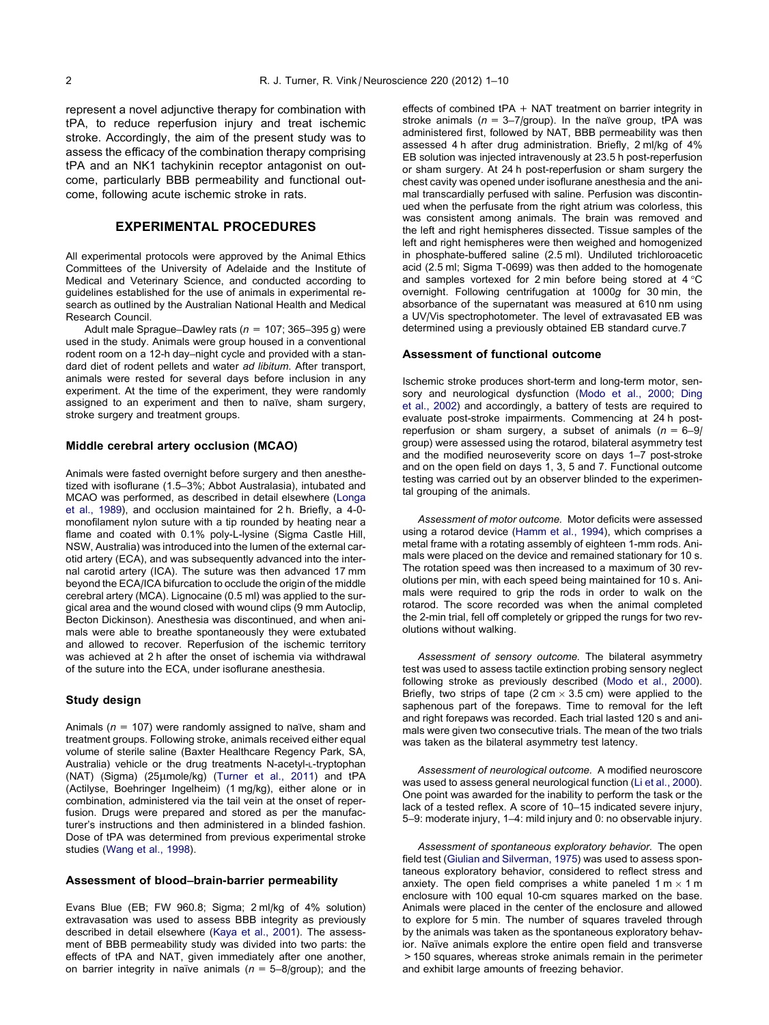represent a novel adjunctive therapy for combination with tPA, to reduce reperfusion injury and treat ischemic stroke. Accordingly, the aim of the present study was to assess the efficacy of the combination therapy comprising tPA and an NK1 tachykinin receptor antagonist on outcome, particularly BBB permeability and functional outcome, following acute ischemic stroke in rats.

## EXPERIMENTAL PROCEDURES

All experimental protocols were approved by the Animal Ethics Committees of the University of Adelaide and the Institute of Medical and Veterinary Science, and conducted according to guidelines established for the use of animals in experimental research as outlined by the Australian National Health and Medical Research Council.

Adult male Sprague–Dawley rats ( $n = 107$ ; 365–395 g) were used in the study. Animals were group housed in a conventional rodent room on a 12-h day–night cycle and provided with a standard diet of rodent pellets and water ad libitum. After transport, animals were rested for several days before inclusion in any experiment. At the time of the experiment, they were randomly assigned to an experiment and then to naïve, sham surgery, stroke surgery and treatment groups.

#### Middle cerebral artery occlusion (MCAO)

Animals were fasted overnight before surgery and then anesthetized with isoflurane (1.5–3%; Abbot Australasia), intubated and MCAO was performed, as described in detail elsewhere ([Longa](#page-7-0) [et al., 1989](#page-7-0)), and occlusion maintained for 2 h. Briefly, a 4-0 monofilament nylon suture with a tip rounded by heating near a flame and coated with 0.1% poly-L-lysine (Sigma Castle Hill, NSW, Australia) was introduced into the lumen of the external carotid artery (ECA), and was subsequently advanced into the internal carotid artery (ICA). The suture was then advanced 17 mm beyond the ECA/ICA bifurcation to occlude the origin of the middle cerebral artery (MCA). Lignocaine (0.5 ml) was applied to the surgical area and the wound closed with wound clips (9 mm Autoclip, Becton Dickinson). Anesthesia was discontinued, and when animals were able to breathe spontaneously they were extubated and allowed to recover. Reperfusion of the ischemic territory was achieved at 2 h after the onset of ischemia via withdrawal of the suture into the ECA, under isoflurane anesthesia.

#### Study design

Animals ( $n = 107$ ) were randomly assigned to naïve, sham and treatment groups. Following stroke, animals received either equal volume of sterile saline (Baxter Healthcare Regency Park, SA, Australia) vehicle or the drug treatments N-acetyl-L-tryptophan (NAT) (Sigma) (25µmole/kg) [\(Turner et al., 2011\)](#page-8-0) and tPA (Actilyse, Boehringer Ingelheim) (1 mg/kg), either alone or in combination, administered via the tail vein at the onset of reperfusion. Drugs were prepared and stored as per the manufacturer's instructions and then administered in a blinded fashion. Dose of tPA was determined from previous experimental stroke studies [\(Wang et al., 1998](#page-8-0)).

#### Assessment of blood–brain-barrier permeability

Evans Blue (EB; FW 960.8; Sigma; 2 ml/kg of 4% solution) extravasation was used to assess BBB integrity as previously described in detail elsewhere [\(Kaya et al., 2001\)](#page-7-0). The assessment of BBB permeability study was divided into two parts: the effects of tPA and NAT, given immediately after one another, on barrier integrity in naïve animals ( $n = 5-8$ /group); and the effects of combined tPA + NAT treatment on barrier integrity in stroke animals ( $n = 3-7$ /group). In the naïve group, tPA was administered first, followed by NAT, BBB permeability was then assessed 4 h after drug administration. Briefly, 2 ml/kg of 4% EB solution was injected intravenously at 23.5 h post-reperfusion or sham surgery. At 24 h post-reperfusion or sham surgery the chest cavity was opened under isoflurane anesthesia and the animal transcardially perfused with saline. Perfusion was discontinued when the perfusate from the right atrium was colorless, this was consistent among animals. The brain was removed and the left and right hemispheres dissected. Tissue samples of the left and right hemispheres were then weighed and homogenized in phosphate-buffered saline (2.5 ml). Undiluted trichloroacetic acid (2.5 ml; Sigma T-0699) was then added to the homogenate and samples vortexed for 2 min before being stored at  $4^{\circ}$ C overnight. Following centrifugation at 1000g for 30 min, the absorbance of the supernatant was measured at 610 nm using a UV/Vis spectrophotometer. The level of extravasated EB was determined using a previously obtained EB standard curve.7

#### Assessment of functional outcome

Ischemic stroke produces short-term and long-term motor, sensory and neurological dysfunction ([Modo et al., 2000; Ding](#page-8-0) [et al., 2002\)](#page-8-0) and accordingly, a battery of tests are required to evaluate post-stroke impairments. Commencing at 24 h postreperfusion or sham surgery, a subset of animals  $(n = 6-9)$ group) were assessed using the rotarod, bilateral asymmetry test and the modified neuroseverity score on days 1–7 post-stroke and on the open field on days 1, 3, 5 and 7. Functional outcome testing was carried out by an observer blinded to the experimental grouping of the animals.

Assessment of motor outcome. Motor deficits were assessed using a rotarod device [\(Hamm et al., 1994](#page-7-0)), which comprises a metal frame with a rotating assembly of eighteen 1-mm rods. Animals were placed on the device and remained stationary for 10 s. The rotation speed was then increased to a maximum of 30 revolutions per min, with each speed being maintained for 10 s. Animals were required to grip the rods in order to walk on the rotarod. The score recorded was when the animal completed the 2-min trial, fell off completely or gripped the rungs for two revolutions without walking.

Assessment of sensory outcome. The bilateral asymmetry test was used to assess tactile extinction probing sensory neglect following stroke as previously described [\(Modo et al., 2000](#page-8-0)). Briefly, two strips of tape (2 cm  $\times$  3.5 cm) were applied to the saphenous part of the forepaws. Time to removal for the left and right forepaws was recorded. Each trial lasted 120 s and animals were given two consecutive trials. The mean of the two trials was taken as the bilateral asymmetry test latency.

Assessment of neurological outcome. A modified neuroscore was used to assess general neurological function [\(Li et al., 2000](#page-7-0)). One point was awarded for the inability to perform the task or the lack of a tested reflex. A score of 10–15 indicated severe injury, 5–9: moderate injury, 1–4: mild injury and 0: no observable injury.

Assessment of spontaneous exploratory behavior. The open field test [\(Giulian and Silverman, 1975](#page-7-0)) was used to assess spontaneous exploratory behavior, considered to reflect stress and anxiety. The open field comprises a white paneled 1 m  $\times$  1 m enclosure with 100 equal 10-cm squares marked on the base. Animals were placed in the center of the enclosure and allowed to explore for 5 min. The number of squares traveled through by the animals was taken as the spontaneous exploratory behavior. Naïve animals explore the entire open field and transverse >150 squares, whereas stroke animals remain in the perimeter and exhibit large amounts of freezing behavior.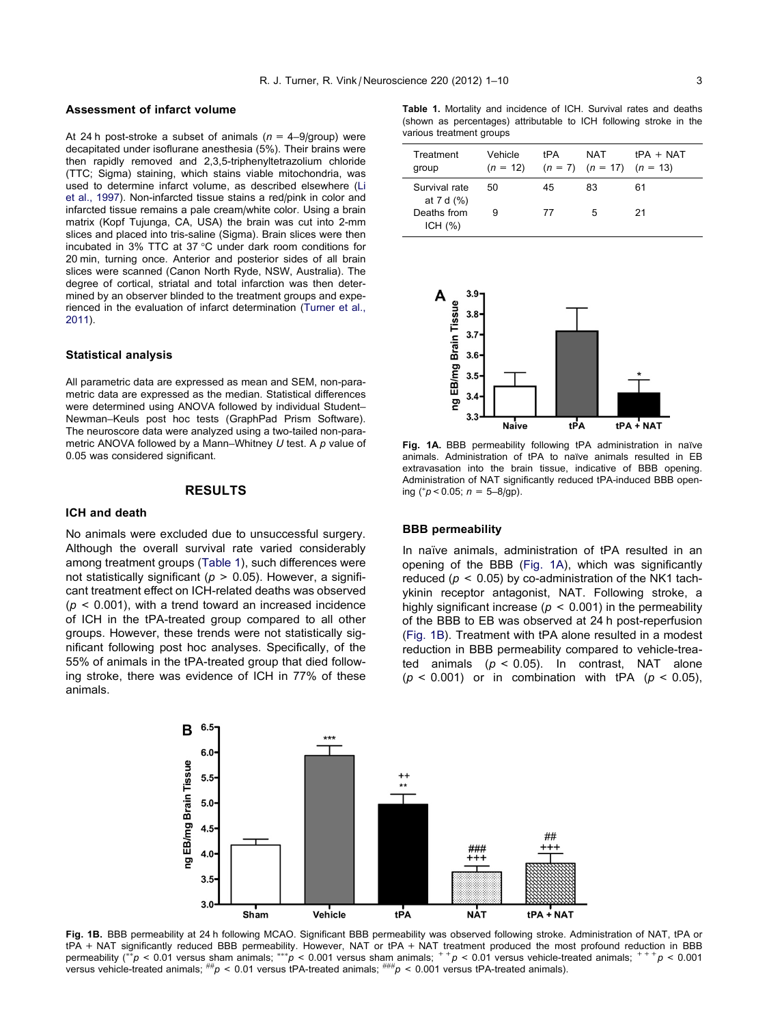#### Assessment of infarct volume

At 24 h post-stroke a subset of animals ( $n = 4-9$ /group) were decapitated under isoflurane anesthesia (5%). Their brains were then rapidly removed and 2,3,5-triphenyltetrazolium chloride (TTC; Sigma) staining, which stains viable mitochondria, was used to determine infarct volume, as described elsewhere [\(Li](#page-7-0) [et al., 1997\)](#page-7-0). Non-infarcted tissue stains a red/pink in color and infarcted tissue remains a pale cream/white color. Using a brain matrix (Kopf Tujunga, CA, USA) the brain was cut into 2-mm slices and placed into tris-saline (Sigma). Brain slices were then incubated in 3% TTC at 37 °C under dark room conditions for 20 min, turning once. Anterior and posterior sides of all brain slices were scanned (Canon North Ryde, NSW, Australia). The degree of cortical, striatal and total infarction was then determined by an observer blinded to the treatment groups and experienced in the evaluation of infarct determination [\(Turner et al.,](#page-8-0) [2011](#page-8-0)).

#### Statistical analysis

All parametric data are expressed as mean and SEM, non-parametric data are expressed as the median. Statistical differences were determined using ANOVA followed by individual Student– Newman–Keuls post hoc tests (GraphPad Prism Software). The neuroscore data were analyzed using a two-tailed non-parametric ANOVA followed by a Mann–Whitney  $U$  test. A  $p$  value of 0.05 was considered significant.

## RESULTS

## ICH and death

No animals were excluded due to unsuccessful surgery. Although the overall survival rate varied considerably among treatment groups (Table 1), such differences were not statistically significant ( $p > 0.05$ ). However, a significant treatment effect on ICH-related deaths was observed  $(p < 0.001)$ , with a trend toward an increased incidence of ICH in the tPA-treated group compared to all other groups. However, these trends were not statistically significant following post hoc analyses. Specifically, of the 55% of animals in the tPA-treated group that died following stroke, there was evidence of ICH in 77% of these animals.

Table 1. Mortality and incidence of ICH. Survival rates and deaths (shown as percentages) attributable to ICH following stroke in the various treatment groups

| Treatment<br>group            | Vehicle<br>$(n = 12)$ | tPA | NAT<br>$(n = 7)$ $(n = 17)$ $(n = 13)$ | $tPA + NAT$ |
|-------------------------------|-----------------------|-----|----------------------------------------|-------------|
| Survival rate<br>at 7 d $(%)$ | 50.                   | 45  | 83                                     | 61          |
| Deaths from<br>ICH $(%)$      | 9                     | 77  | 5                                      | 21          |



Fig. 1A. BBB permeability following tPA administration in naïve animals. Administration of tPA to naïve animals resulted in EB extravasation into the brain tissue, indicative of BBB opening. Administration of NAT significantly reduced tPA-induced BBB opening ( $p < 0.05$ ;  $n = 5-8$ /gp).

## BBB permeability

In naïve animals, administration of tPA resulted in an opening of the BBB (Fig. 1A), which was significantly reduced ( $p < 0.05$ ) by co-administration of the NK1 tachykinin receptor antagonist, NAT. Following stroke, a highly significant increase ( $p < 0.001$ ) in the permeability of the BBB to EB was observed at 24 h post-reperfusion (Fig. 1B). Treatment with tPA alone resulted in a modest reduction in BBB permeability compared to vehicle-treated animals  $(p < 0.05)$ . In contrast, NAT alone ( $p < 0.001$ ) or in combination with tPA ( $p < 0.05$ ),



Fig. 1B. BBB permeability at 24 h following MCAO. Significant BBB permeability was observed following stroke. Administration of NAT, tPA or tPA + NAT significantly reduced BBB permeability. However, NAT or tPA + NAT treatment produced the most profound reduction in BBB permeability (\*\*p < 0.01 versus sham animals; \*\*\*p < 0.001 versus sham animals;  $^+$ p < 0.01 versus vehicle-treated animals;  $^{+}$  + p < 0.001 versus vehicle-treated animals; ##p < 0.01 versus tPA-treated animals; ###p < 0.001 versus tPA-treated animals).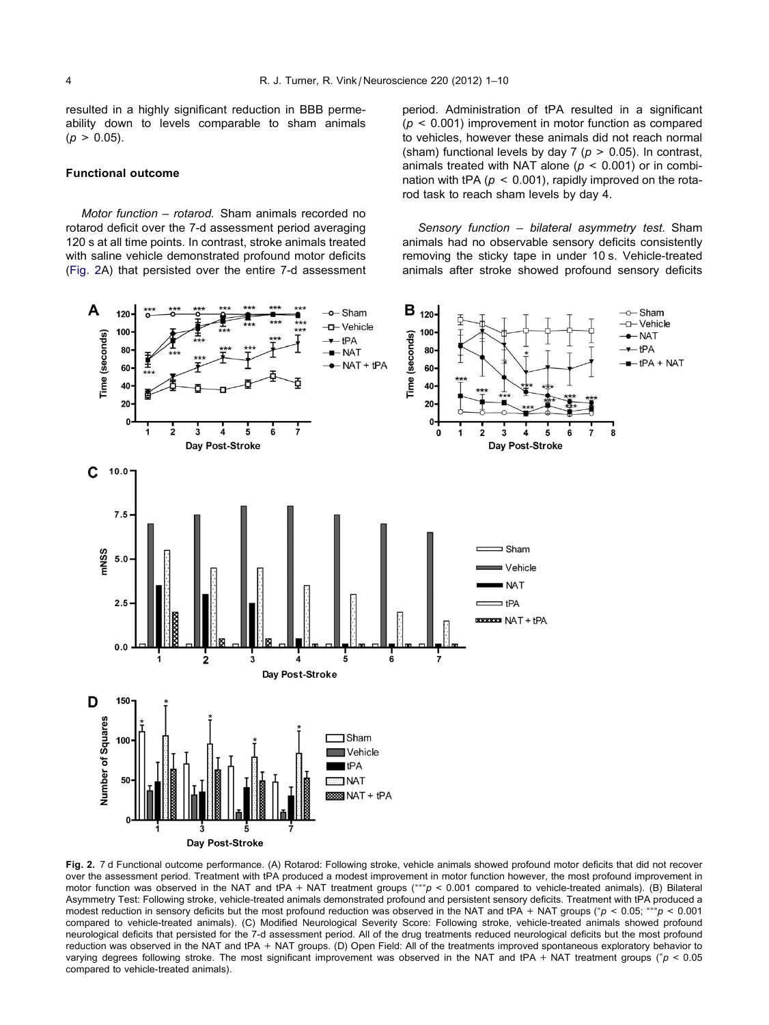<span id="page-3-0"></span>resulted in a highly significant reduction in BBB permeability down to levels comparable to sham animals  $(p > 0.05)$ .

#### Functional outcome

Motor function – rotarod. Sham animals recorded no rotarod deficit over the 7-d assessment period averaging 120 s at all time points. In contrast, stroke animals treated with saline vehicle demonstrated profound motor deficits (Fig. 2A) that persisted over the entire 7-d assessment period. Administration of tPA resulted in a significant  $(p < 0.001)$  improvement in motor function as compared to vehicles, however these animals did not reach normal (sham) functional levels by day 7 ( $p > 0.05$ ). In contrast, animals treated with NAT alone ( $p < 0.001$ ) or in combination with tPA ( $p < 0.001$ ), rapidly improved on the rotarod task to reach sham levels by day 4.

Sensory function – bilateral asymmetry test. Sham animals had no observable sensory deficits consistently removing the sticky tape in under 10 s. Vehicle-treated animals after stroke showed profound sensory deficits



Fig. 2. 7 d Functional outcome performance. (A) Rotarod: Following stroke, vehicle animals showed profound motor deficits that did not recover over the assessment period. Treatment with tPA produced a modest improvement in motor function however, the most profound improvement in motor function was observed in the NAT and tPA + NAT treatment groups  $(***p < 0.001$  compared to vehicle-treated animals). (B) Bilateral Asymmetry Test: Following stroke, vehicle-treated animals demonstrated profound and persistent sensory deficits. Treatment with tPA produced a modest reduction in sensory deficits but the most profound reduction was observed in the NAT and tPA + NAT groups ( $p < 0.05$ ; \*\*\* $p < 0.001$ ) compared to vehicle-treated animals). (C) Modified Neurological Severity Score: Following stroke, vehicle-treated animals showed profound neurological deficits that persisted for the 7-d assessment period. All of the drug treatments reduced neurological deficits but the most profound reduction was observed in the NAT and tPA + NAT groups. (D) Open Field: All of the treatments improved spontaneous exploratory behavior to varying degrees following stroke. The most significant improvement was observed in the NAT and tPA + NAT treatment groups (\* $p < 0.05$ compared to vehicle-treated animals).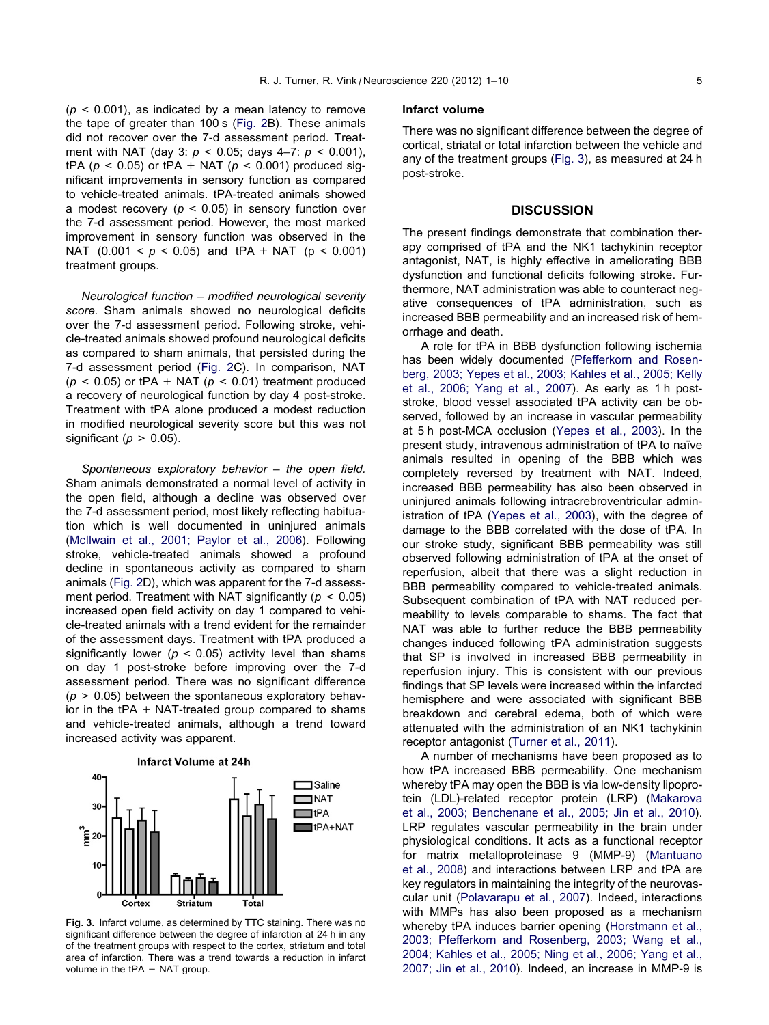$(p < 0.001)$ , as indicated by a mean latency to remove the tape of greater than 100 s [\(Fig. 2](#page-3-0)B). These animals did not recover over the 7-d assessment period. Treatment with NAT (day 3:  $p < 0.05$ ; days 4-7:  $p < 0.001$ ), tPA ( $p$  < 0.05) or tPA + NAT ( $p$  < 0.001) produced significant improvements in sensory function as compared to vehicle-treated animals. tPA-treated animals showed a modest recovery ( $p < 0.05$ ) in sensory function over the 7-d assessment period. However, the most marked improvement in sensory function was observed in the NAT  $(0.001 < p < 0.05)$  and tPA + NAT  $(p < 0.001)$ treatment groups.

Neurological function – modified neurological severity score. Sham animals showed no neurological deficits over the 7-d assessment period. Following stroke, vehicle-treated animals showed profound neurological deficits as compared to sham animals, that persisted during the 7-d assessment period ([Fig. 2](#page-3-0)C). In comparison, NAT  $(p < 0.05)$  or tPA + NAT  $(p < 0.01)$  treatment produced a recovery of neurological function by day 4 post-stroke. Treatment with tPA alone produced a modest reduction in modified neurological severity score but this was not significant ( $p > 0.05$ ).

Spontaneous exploratory behavior – the open field. Sham animals demonstrated a normal level of activity in the open field, although a decline was observed over the 7-d assessment period, most likely reflecting habituation which is well documented in uninjured animals [\(McIlwain et al., 2001; Paylor et al., 2006](#page-8-0)). Following stroke, vehicle-treated animals showed a profound decline in spontaneous activity as compared to sham animals ([Fig. 2D](#page-3-0)), which was apparent for the 7-d assessment period. Treatment with NAT significantly ( $p < 0.05$ ) increased open field activity on day 1 compared to vehicle-treated animals with a trend evident for the remainder of the assessment days. Treatment with tPA produced a significantly lower ( $p < 0.05$ ) activity level than shams on day 1 post-stroke before improving over the 7-d assessment period. There was no significant difference  $(p > 0.05)$  between the spontaneous exploratory behavior in the  $tPA + NAT-treated$  group compared to shams and vehicle-treated animals, although a trend toward increased activity was apparent.



Fig. 3. Infarct volume, as determined by TTC staining. There was no significant difference between the degree of infarction at 24 h in any of the treatment groups with respect to the cortex, striatum and total area of infarction. There was a trend towards a reduction in infarct volume in the tPA + NAT group.

## Infarct volume

There was no significant difference between the degree of cortical, striatal or total infarction between the vehicle and any of the treatment groups (Fig. 3), as measured at 24 h post-stroke.

# **DISCUSSION**

The present findings demonstrate that combination therapy comprised of tPA and the NK1 tachykinin receptor antagonist, NAT, is highly effective in ameliorating BBB dysfunction and functional deficits following stroke. Furthermore, NAT administration was able to counteract negative consequences of tPA administration, such as increased BBB permeability and an increased risk of hemorrhage and death.

A role for tPA in BBB dysfunction following ischemia has been widely documented [\(Pfefferkorn and Rosen](#page-8-0)[berg, 2003; Yepes et al., 2003; Kahles et al., 2005; Kelly](#page-8-0) [et al., 2006; Yang et al., 2007](#page-8-0)). As early as 1 h poststroke, blood vessel associated tPA activity can be observed, followed by an increase in vascular permeability at 5 h post-MCA occlusion ([Yepes et al., 2003\)](#page-8-0). In the present study, intravenous administration of tPA to naïve animals resulted in opening of the BBB which was completely reversed by treatment with NAT. Indeed, increased BBB permeability has also been observed in uninjured animals following intracrebroventricular administration of tPA ([Yepes et al., 2003](#page-8-0)), with the degree of damage to the BBB correlated with the dose of tPA. In our stroke study, significant BBB permeability was still observed following administration of tPA at the onset of reperfusion, albeit that there was a slight reduction in BBB permeability compared to vehicle-treated animals. Subsequent combination of tPA with NAT reduced permeability to levels comparable to shams. The fact that NAT was able to further reduce the BBB permeability changes induced following tPA administration suggests that SP is involved in increased BBB permeability in reperfusion injury. This is consistent with our previous findings that SP levels were increased within the infarcted hemisphere and were associated with significant BBB breakdown and cerebral edema, both of which were attenuated with the administration of an NK1 tachykinin receptor antagonist ([Turner et al., 2011](#page-8-0)).

A number of mechanisms have been proposed as to how tPA increased BBB permeability. One mechanism whereby tPA may open the BBB is via low-density lipoprotein (LDL)-related receptor protein (LRP) ([Makarova](#page-7-0) [et al., 2003; Benchenane et al., 2005; Jin et al., 2010\)](#page-7-0). LRP regulates vascular permeability in the brain under physiological conditions. It acts as a functional receptor for matrix metalloproteinase 9 (MMP-9) [\(Mantuano](#page-7-0) [et al., 2008\)](#page-7-0) and interactions between LRP and tPA are key regulators in maintaining the integrity of the neurovascular unit ([Polavarapu et al., 2007\)](#page-8-0). Indeed, interactions with MMPs has also been proposed as a mechanism whereby tPA induces barrier opening [\(Horstmann et al.,](#page-7-0) [2003; Pfefferkorn and Rosenberg, 2003; Wang et al.,](#page-7-0) [2004; Kahles et al., 2005; Ning et al., 2006; Yang et al.,](#page-7-0) [2007; Jin et al., 2010\)](#page-7-0). Indeed, an increase in MMP-9 is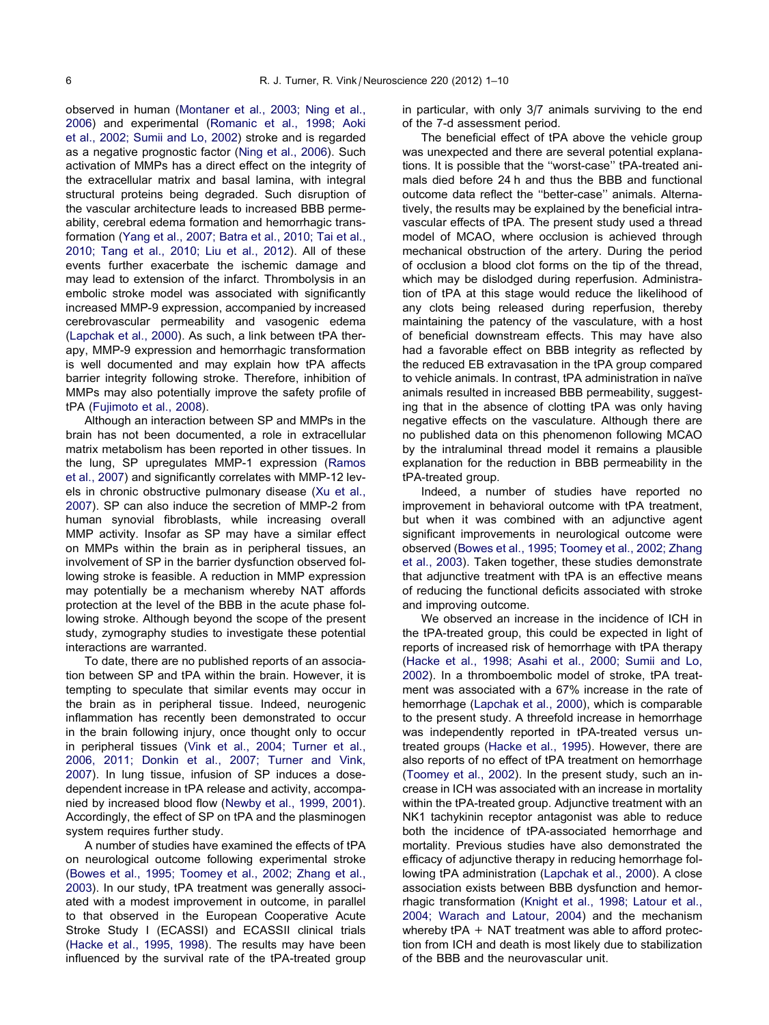observed in human ([Montaner et al., 2003; Ning et al.,](#page-8-0) [2006](#page-8-0)) and experimental ([Romanic et al., 1998; Aoki](#page-8-0) [et al., 2002; Sumii and Lo, 2002](#page-8-0)) stroke and is regarded as a negative prognostic factor ([Ning et al., 2006\)](#page-8-0). Such activation of MMPs has a direct effect on the integrity of the extracellular matrix and basal lamina, with integral structural proteins being degraded. Such disruption of the vascular architecture leads to increased BBB permeability, cerebral edema formation and hemorrhagic transformation [\(Yang et al., 2007; Batra et al., 2010; Tai et al.,](#page-8-0) [2010; Tang et al., 2010; Liu et al., 2012\)](#page-8-0). All of these events further exacerbate the ischemic damage and may lead to extension of the infarct. Thrombolysis in an embolic stroke model was associated with significantly increased MMP-9 expression, accompanied by increased cerebrovascular permeability and vasogenic edema [\(Lapchak et al., 2000\)](#page-7-0). As such, a link between tPA therapy, MMP-9 expression and hemorrhagic transformation is well documented and may explain how tPA affects barrier integrity following stroke. Therefore, inhibition of MMPs may also potentially improve the safety profile of tPA ([Fujimoto et al., 2008](#page-7-0)).

Although an interaction between SP and MMPs in the brain has not been documented, a role in extracellular matrix metabolism has been reported in other tissues. In the lung, SP upregulates MMP-1 expression [\(Ramos](#page-8-0) [et al., 2007](#page-8-0)) and significantly correlates with MMP-12 levels in chronic obstructive pulmonary disease ([Xu et al.,](#page-8-0) [2007](#page-8-0)). SP can also induce the secretion of MMP-2 from human synovial fibroblasts, while increasing overall MMP activity. Insofar as SP may have a similar effect on MMPs within the brain as in peripheral tissues, an involvement of SP in the barrier dysfunction observed following stroke is feasible. A reduction in MMP expression may potentially be a mechanism whereby NAT affords protection at the level of the BBB in the acute phase following stroke. Although beyond the scope of the present study, zymography studies to investigate these potential interactions are warranted.

To date, there are no published reports of an association between SP and tPA within the brain. However, it is tempting to speculate that similar events may occur in the brain as in peripheral tissue. Indeed, neurogenic inflammation has recently been demonstrated to occur in the brain following injury, once thought only to occur in peripheral tissues ([Vink et al., 2004; Turner et al.,](#page-8-0) [2006, 2011; Donkin et al., 2007; Turner and Vink,](#page-8-0) [2007](#page-8-0)). In lung tissue, infusion of SP induces a dosedependent increase in tPA release and activity, accompanied by increased blood flow ([Newby et al., 1999, 2001\)](#page-8-0). Accordingly, the effect of SP on tPA and the plasminogen system requires further study.

A number of studies have examined the effects of tPA on neurological outcome following experimental stroke [\(Bowes et al., 1995; Toomey et al., 2002; Zhang et al.,](#page-6-0) [2003](#page-6-0)). In our study, tPA treatment was generally associated with a modest improvement in outcome, in parallel to that observed in the European Cooperative Acute Stroke Study I (ECASSI) and ECASSII clinical trials [\(Hacke et al., 1995, 1998](#page-7-0)). The results may have been influenced by the survival rate of the tPA-treated group

in particular, with only 3/7 animals surviving to the end of the 7-d assessment period.

The beneficial effect of tPA above the vehicle group was unexpected and there are several potential explanations. It is possible that the ''worst-case'' tPA-treated animals died before 24 h and thus the BBB and functional outcome data reflect the ''better-case'' animals. Alternatively, the results may be explained by the beneficial intravascular effects of tPA. The present study used a thread model of MCAO, where occlusion is achieved through mechanical obstruction of the artery. During the period of occlusion a blood clot forms on the tip of the thread, which may be dislodged during reperfusion. Administration of tPA at this stage would reduce the likelihood of any clots being released during reperfusion, thereby maintaining the patency of the vasculature, with a host of beneficial downstream effects. This may have also had a favorable effect on BBB integrity as reflected by the reduced EB extravasation in the tPA group compared to vehicle animals. In contrast, tPA administration in naïve animals resulted in increased BBB permeability, suggesting that in the absence of clotting tPA was only having negative effects on the vasculature. Although there are no published data on this phenomenon following MCAO by the intraluminal thread model it remains a plausible explanation for the reduction in BBB permeability in the tPA-treated group.

Indeed, a number of studies have reported no improvement in behavioral outcome with tPA treatment, but when it was combined with an adjunctive agent significant improvements in neurological outcome were observed ([Bowes et al., 1995; Toomey et al., 2002; Zhang](#page-6-0) [et al., 2003](#page-6-0)). Taken together, these studies demonstrate that adjunctive treatment with tPA is an effective means of reducing the functional deficits associated with stroke and improving outcome.

We observed an increase in the incidence of ICH in the tPA-treated group, this could be expected in light of reports of increased risk of hemorrhage with tPA therapy ([Hacke et al., 1998; Asahi et al., 2000; Sumii and Lo,](#page-7-0) [2002](#page-7-0)). In a thromboembolic model of stroke, tPA treatment was associated with a 67% increase in the rate of hemorrhage [\(Lapchak et al., 2000\)](#page-7-0), which is comparable to the present study. A threefold increase in hemorrhage was independently reported in tPA-treated versus untreated groups [\(Hacke et al., 1995](#page-7-0)). However, there are also reports of no effect of tPA treatment on hemorrhage ([Toomey et al., 2002\)](#page-8-0). In the present study, such an increase in ICH was associated with an increase in mortality within the tPA-treated group. Adjunctive treatment with an NK1 tachykinin receptor antagonist was able to reduce both the incidence of tPA-associated hemorrhage and mortality. Previous studies have also demonstrated the efficacy of adjunctive therapy in reducing hemorrhage following tPA administration ([Lapchak et al., 2000](#page-7-0)). A close association exists between BBB dysfunction and hemorrhagic transformation [\(Knight et al., 1998; Latour et al.,](#page-7-0) [2004; Warach and Latour, 2004\)](#page-7-0) and the mechanism whereby tPA + NAT treatment was able to afford protection from ICH and death is most likely due to stabilization of the BBB and the neurovascular unit.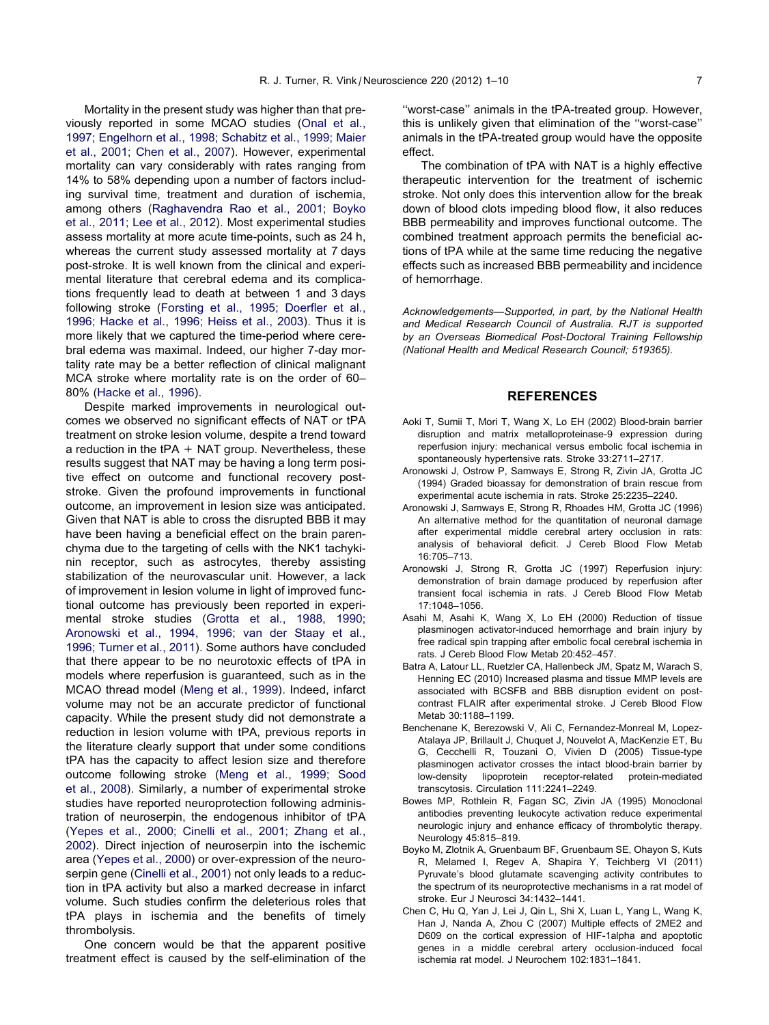<span id="page-6-0"></span>Mortality in the present study was higher than that previously reported in some MCAO studies ([Onal et al.,](#page-8-0) [1997; Engelhorn et al., 1998; Schabitz et al., 1999; Maier](#page-8-0) [et al., 2001; Chen et al., 2007\)](#page-8-0). However, experimental mortality can vary considerably with rates ranging from 14% to 58% depending upon a number of factors including survival time, treatment and duration of ischemia, among others ([Raghavendra Rao et al., 2001; Boyko](#page-8-0) [et al., 2011; Lee et al., 2012](#page-8-0)). Most experimental studies assess mortality at more acute time-points, such as 24 h, whereas the current study assessed mortality at 7 days post-stroke. It is well known from the clinical and experimental literature that cerebral edema and its complications frequently lead to death at between 1 and 3 days following stroke ([Forsting et al., 1995; Doerfler et al.,](#page-7-0) [1996; Hacke et al., 1996; Heiss et al., 2003](#page-7-0)). Thus it is more likely that we captured the time-period where cerebral edema was maximal. Indeed, our higher 7-day mortality rate may be a better reflection of clinical malignant MCA stroke where mortality rate is on the order of 60– 80% [\(Hacke et al., 1996\)](#page-7-0).

Despite marked improvements in neurological outcomes we observed no significant effects of NAT or tPA treatment on stroke lesion volume, despite a trend toward a reduction in the tPA  $+$  NAT group. Nevertheless, these results suggest that NAT may be having a long term positive effect on outcome and functional recovery poststroke. Given the profound improvements in functional outcome, an improvement in lesion size was anticipated. Given that NAT is able to cross the disrupted BBB it may have been having a beneficial effect on the brain parenchyma due to the targeting of cells with the NK1 tachykinin receptor, such as astrocytes, thereby assisting stabilization of the neurovascular unit. However, a lack of improvement in lesion volume in light of improved functional outcome has previously been reported in experimental stroke studies ([Grotta et al., 1988, 1990;](#page-7-0) [Aronowski et al., 1994, 1996; van der Staay et al.,](#page-7-0) [1996; Turner et al., 2011](#page-7-0)). Some authors have concluded that there appear to be no neurotoxic effects of tPA in models where reperfusion is guaranteed, such as in the MCAO thread model ([Meng et al., 1999\)](#page-8-0). Indeed, infarct volume may not be an accurate predictor of functional capacity. While the present study did not demonstrate a reduction in lesion volume with tPA, previous reports in the literature clearly support that under some conditions tPA has the capacity to affect lesion size and therefore outcome following stroke ([Meng et al., 1999; Sood](#page-8-0) [et al., 2008](#page-8-0)). Similarly, a number of experimental stroke studies have reported neuroprotection following administration of neuroserpin, the endogenous inhibitor of tPA [\(Yepes et al., 2000; Cinelli et al., 2001; Zhang et al.,](#page-8-0) [2002](#page-8-0)). Direct injection of neuroserpin into the ischemic area ([Yepes et al., 2000](#page-8-0)) or over-expression of the neuroserpin gene [\(Cinelli et al., 2001](#page-7-0)) not only leads to a reduction in tPA activity but also a marked decrease in infarct volume. Such studies confirm the deleterious roles that tPA plays in ischemia and the benefits of timely thrombolysis.

One concern would be that the apparent positive treatment effect is caused by the self-elimination of the

''worst-case'' animals in the tPA-treated group. However, this is unlikely given that elimination of the ''worst-case'' animals in the tPA-treated group would have the opposite effect.

The combination of tPA with NAT is a highly effective therapeutic intervention for the treatment of ischemic stroke. Not only does this intervention allow for the break down of blood clots impeding blood flow, it also reduces BBB permeability and improves functional outcome. The combined treatment approach permits the beneficial actions of tPA while at the same time reducing the negative effects such as increased BBB permeability and incidence of hemorrhage.

Acknowledgements—Supported, in part, by the National Health and Medical Research Council of Australia. RJT is supported by an Overseas Biomedical Post-Doctoral Training Fellowship (National Health and Medical Research Council; 519365).

## REFERENCES

- Aoki T, Sumii T, Mori T, Wang X, Lo EH (2002) Blood-brain barrier disruption and matrix metalloproteinase-9 expression during reperfusion injury: mechanical versus embolic focal ischemia in spontaneously hypertensive rats. Stroke 33:2711–2717.
- Aronowski J, Ostrow P, Samways E, Strong R, Zivin JA, Grotta JC (1994) Graded bioassay for demonstration of brain rescue from experimental acute ischemia in rats. Stroke 25:2235–2240.
- Aronowski J, Samways E, Strong R, Rhoades HM, Grotta JC (1996) An alternative method for the quantitation of neuronal damage after experimental middle cerebral artery occlusion in rats: analysis of behavioral deficit. J Cereb Blood Flow Metab 16:705–713.
- Aronowski J, Strong R, Grotta JC (1997) Reperfusion injury: demonstration of brain damage produced by reperfusion after transient focal ischemia in rats. J Cereb Blood Flow Metab 17:1048–1056.
- Asahi M, Asahi K, Wang X, Lo EH (2000) Reduction of tissue plasminogen activator-induced hemorrhage and brain injury by free radical spin trapping after embolic focal cerebral ischemia in rats. J Cereb Blood Flow Metab 20:452–457.
- Batra A, Latour LL, Ruetzler CA, Hallenbeck JM, Spatz M, Warach S, Henning EC (2010) Increased plasma and tissue MMP levels are associated with BCSFB and BBB disruption evident on postcontrast FLAIR after experimental stroke. J Cereb Blood Flow Metab 30:1188–1199.
- Benchenane K, Berezowski V, Ali C, Fernandez-Monreal M, Lopez-Atalaya JP, Brillault J, Chuquet J, Nouvelot A, MacKenzie ET, Bu G, Cecchelli R, Touzani O, Vivien D (2005) Tissue-type plasminogen activator crosses the intact blood-brain barrier by low-density lipoprotein receptor-related protein-mediated transcytosis. Circulation 111:2241–2249.
- Bowes MP, Rothlein R, Fagan SC, Zivin JA (1995) Monoclonal antibodies preventing leukocyte activation reduce experimental neurologic injury and enhance efficacy of thrombolytic therapy. Neurology 45:815–819.
- Boyko M, Zlotnik A, Gruenbaum BF, Gruenbaum SE, Ohayon S, Kuts R, Melamed I, Regev A, Shapira Y, Teichberg VI (2011) Pyruvate's blood glutamate scavenging activity contributes to the spectrum of its neuroprotective mechanisms in a rat model of stroke. Eur J Neurosci 34:1432–1441.
- Chen C, Hu Q, Yan J, Lei J, Qin L, Shi X, Luan L, Yang L, Wang K, Han J, Nanda A, Zhou C (2007) Multiple effects of 2ME2 and D609 on the cortical expression of HIF-1alpha and apoptotic genes in a middle cerebral artery occlusion-induced focal ischemia rat model. J Neurochem 102:1831–1841.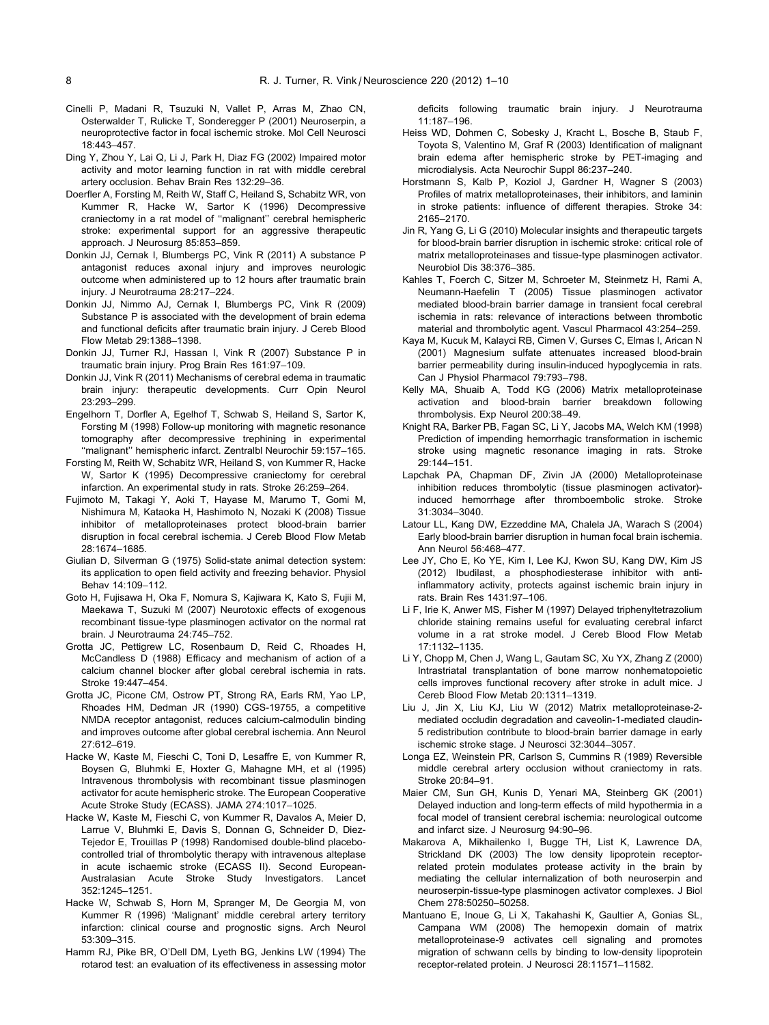- <span id="page-7-0"></span>Cinelli P, Madani R, Tsuzuki N, Vallet P, Arras M, Zhao CN, Osterwalder T, Rulicke T, Sonderegger P (2001) Neuroserpin, a neuroprotective factor in focal ischemic stroke. Mol Cell Neurosci 18:443–457.
- Ding Y, Zhou Y, Lai Q, Li J, Park H, Diaz FG (2002) Impaired motor activity and motor learning function in rat with middle cerebral artery occlusion. Behav Brain Res 132:29–36.
- Doerfler A, Forsting M, Reith W, Staff C, Heiland S, Schabitz WR, von Kummer R, Hacke W, Sartor K (1996) Decompressive craniectomy in a rat model of ''malignant'' cerebral hemispheric stroke: experimental support for an aggressive therapeutic approach. J Neurosurg 85:853–859.
- Donkin JJ, Cernak I, Blumbergs PC, Vink R (2011) A substance P antagonist reduces axonal injury and improves neurologic outcome when administered up to 12 hours after traumatic brain injury. J Neurotrauma 28:217–224.
- Donkin JJ, Nimmo AJ, Cernak I, Blumbergs PC, Vink R (2009) Substance P is associated with the development of brain edema and functional deficits after traumatic brain injury. J Cereb Blood Flow Metab 29:1388–1398.
- Donkin JJ, Turner RJ, Hassan I, Vink R (2007) Substance P in traumatic brain injury. Prog Brain Res 161:97–109.
- Donkin JJ, Vink R (2011) Mechanisms of cerebral edema in traumatic brain injury: therapeutic developments. Curr Opin Neurol 23:293–299.
- Engelhorn T, Dorfler A, Egelhof T, Schwab S, Heiland S, Sartor K, Forsting M (1998) Follow-up monitoring with magnetic resonance tomography after decompressive trephining in experimental ''malignant'' hemispheric infarct. Zentralbl Neurochir 59:157–165.
- Forsting M, Reith W, Schabitz WR, Heiland S, von Kummer R, Hacke W, Sartor K (1995) Decompressive craniectomy for cerebral infarction. An experimental study in rats. Stroke 26:259–264.
- Fujimoto M, Takagi Y, Aoki T, Hayase M, Marumo T, Gomi M, Nishimura M, Kataoka H, Hashimoto N, Nozaki K (2008) Tissue inhibitor of metalloproteinases protect blood-brain barrier disruption in focal cerebral ischemia. J Cereb Blood Flow Metab 28:1674–1685.
- Giulian D, Silverman G (1975) Solid-state animal detection system: its application to open field activity and freezing behavior. Physiol Behav 14:109–112.
- Goto H, Fujisawa H, Oka F, Nomura S, Kajiwara K, Kato S, Fujii M, Maekawa T, Suzuki M (2007) Neurotoxic effects of exogenous recombinant tissue-type plasminogen activator on the normal rat brain. J Neurotrauma 24:745–752.
- Grotta JC, Pettigrew LC, Rosenbaum D, Reid C, Rhoades H, McCandless D (1988) Efficacy and mechanism of action of a calcium channel blocker after global cerebral ischemia in rats. Stroke 19:447–454.
- Grotta JC, Picone CM, Ostrow PT, Strong RA, Earls RM, Yao LP, Rhoades HM, Dedman JR (1990) CGS-19755, a competitive NMDA receptor antagonist, reduces calcium-calmodulin binding and improves outcome after global cerebral ischemia. Ann Neurol 27:612–619.
- Hacke W, Kaste M, Fieschi C, Toni D, Lesaffre E, von Kummer R, Boysen G, Bluhmki E, Hoxter G, Mahagne MH, et al (1995) Intravenous thrombolysis with recombinant tissue plasminogen activator for acute hemispheric stroke. The European Cooperative Acute Stroke Study (ECASS). JAMA 274:1017–1025.
- Hacke W, Kaste M, Fieschi C, von Kummer R, Davalos A, Meier D, Larrue V, Bluhmki E, Davis S, Donnan G, Schneider D, Diez-Tejedor E, Trouillas P (1998) Randomised double-blind placebocontrolled trial of thrombolytic therapy with intravenous alteplase in acute ischaemic stroke (ECASS II). Second European-Australasian Acute Stroke Study Investigators. Lancet 352:1245–1251.
- Hacke W, Schwab S, Horn M, Spranger M, De Georgia M, von Kummer R (1996) 'Malignant' middle cerebral artery territory infarction: clinical course and prognostic signs. Arch Neurol 53:309–315.
- Hamm RJ, Pike BR, O'Dell DM, Lyeth BG, Jenkins LW (1994) The rotarod test: an evaluation of its effectiveness in assessing motor

deficits following traumatic brain injury. J Neurotrauma 11:187–196.

- Heiss WD, Dohmen C, Sobesky J, Kracht L, Bosche B, Staub F, Toyota S, Valentino M, Graf R (2003) Identification of malignant brain edema after hemispheric stroke by PET-imaging and microdialysis. Acta Neurochir Suppl 86:237–240.
- Horstmann S, Kalb P, Koziol J, Gardner H, Wagner S (2003) Profiles of matrix metalloproteinases, their inhibitors, and laminin in stroke patients: influence of different therapies. Stroke 34: 2165–2170.
- Jin R, Yang G, Li G (2010) Molecular insights and therapeutic targets for blood-brain barrier disruption in ischemic stroke: critical role of matrix metalloproteinases and tissue-type plasminogen activator. Neurobiol Dis 38:376–385.
- Kahles T, Foerch C, Sitzer M, Schroeter M, Steinmetz H, Rami A, Neumann-Haefelin T (2005) Tissue plasminogen activator mediated blood-brain barrier damage in transient focal cerebral ischemia in rats: relevance of interactions between thrombotic material and thrombolytic agent. Vascul Pharmacol 43:254–259.
- Kaya M, Kucuk M, Kalayci RB, Cimen V, Gurses C, Elmas I, Arican N (2001) Magnesium sulfate attenuates increased blood-brain barrier permeability during insulin-induced hypoglycemia in rats. Can J Physiol Pharmacol 79:793–798.
- Kelly MA, Shuaib A, Todd KG (2006) Matrix metalloproteinase activation and blood-brain barrier breakdown following thrombolysis. Exp Neurol 200:38–49.
- Knight RA, Barker PB, Fagan SC, Li Y, Jacobs MA, Welch KM (1998) Prediction of impending hemorrhagic transformation in ischemic stroke using magnetic resonance imaging in rats. Stroke 29:144–151.
- Lapchak PA, Chapman DF, Zivin JA (2000) Metalloproteinase inhibition reduces thrombolytic (tissue plasminogen activator) induced hemorrhage after thromboembolic stroke. Stroke 31:3034–3040.
- Latour LL, Kang DW, Ezzeddine MA, Chalela JA, Warach S (2004) Early blood-brain barrier disruption in human focal brain ischemia. Ann Neurol 56:468–477.
- Lee JY, Cho E, Ko YE, Kim I, Lee KJ, Kwon SU, Kang DW, Kim JS (2012) Ibudilast, a phosphodiesterase inhibitor with antiinflammatory activity, protects against ischemic brain injury in rats. Brain Res 1431:97–106.
- Li F, Irie K, Anwer MS, Fisher M (1997) Delayed triphenyltetrazolium chloride staining remains useful for evaluating cerebral infarct volume in a rat stroke model. J Cereb Blood Flow Metab 17:1132–1135.
- Li Y, Chopp M, Chen J, Wang L, Gautam SC, Xu YX, Zhang Z (2000) Intrastriatal transplantation of bone marrow nonhematopoietic cells improves functional recovery after stroke in adult mice. J Cereb Blood Flow Metab 20:1311–1319.
- Liu J, Jin X, Liu KJ, Liu W (2012) Matrix metalloproteinase-2 mediated occludin degradation and caveolin-1-mediated claudin-5 redistribution contribute to blood-brain barrier damage in early ischemic stroke stage. J Neurosci 32:3044–3057.
- Longa EZ, Weinstein PR, Carlson S, Cummins R (1989) Reversible middle cerebral artery occlusion without craniectomy in rats. Stroke 20:84–91.
- Maier CM, Sun GH, Kunis D, Yenari MA, Steinberg GK (2001) Delayed induction and long-term effects of mild hypothermia in a focal model of transient cerebral ischemia: neurological outcome and infarct size. J Neurosurg 94:90–96.
- Makarova A, Mikhailenko I, Bugge TH, List K, Lawrence DA, Strickland DK (2003) The low density lipoprotein receptorrelated protein modulates protease activity in the brain by mediating the cellular internalization of both neuroserpin and neuroserpin-tissue-type plasminogen activator complexes. J Biol Chem 278:50250–50258.
- Mantuano E, Inoue G, Li X, Takahashi K, Gaultier A, Gonias SL, Campana WM (2008) The hemopexin domain of matrix metalloproteinase-9 activates cell signaling and promotes migration of schwann cells by binding to low-density lipoprotein receptor-related protein. J Neurosci 28:11571–11582.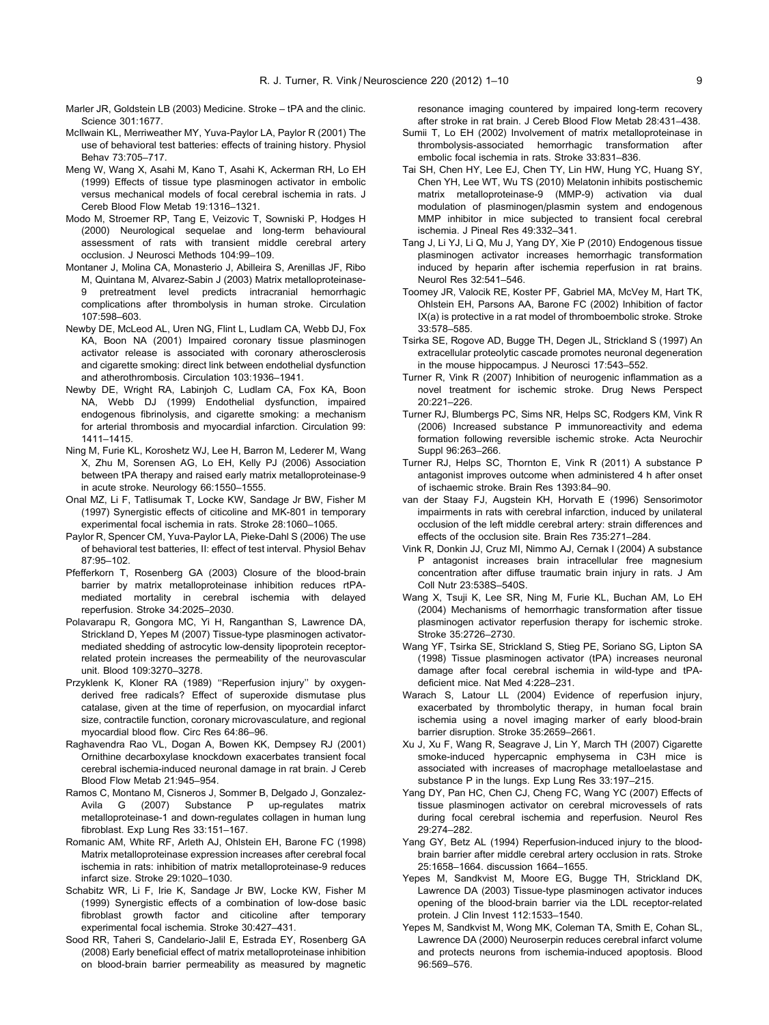- <span id="page-8-0"></span>Marler JR, Goldstein LB (2003) Medicine. Stroke – tPA and the clinic. Science 301:1677.
- McIlwain KL, Merriweather MY, Yuva-Paylor LA, Paylor R (2001) The use of behavioral test batteries: effects of training history. Physiol Behav 73:705–717.
- Meng W, Wang X, Asahi M, Kano T, Asahi K, Ackerman RH, Lo EH (1999) Effects of tissue type plasminogen activator in embolic versus mechanical models of focal cerebral ischemia in rats. J Cereb Blood Flow Metab 19:1316–1321.
- Modo M, Stroemer RP, Tang E, Veizovic T, Sowniski P, Hodges H (2000) Neurological sequelae and long-term behavioural assessment of rats with transient middle cerebral artery occlusion. J Neurosci Methods 104:99–109.
- Montaner J, Molina CA, Monasterio J, Abilleira S, Arenillas JF, Ribo M, Quintana M, Alvarez-Sabin J (2003) Matrix metalloproteinase-9 pretreatment level predicts intracranial hemorrhagic complications after thrombolysis in human stroke. Circulation 107:598–603.
- Newby DE, McLeod AL, Uren NG, Flint L, Ludlam CA, Webb DJ, Fox KA, Boon NA (2001) Impaired coronary tissue plasminogen activator release is associated with coronary atherosclerosis and cigarette smoking: direct link between endothelial dysfunction and atherothrombosis. Circulation 103:1936–1941.
- Newby DE, Wright RA, Labinjoh C, Ludlam CA, Fox KA, Boon NA, Webb DJ (1999) Endothelial dysfunction, impaired endogenous fibrinolysis, and cigarette smoking: a mechanism for arterial thrombosis and myocardial infarction. Circulation 99: 1411–1415.
- Ning M, Furie KL, Koroshetz WJ, Lee H, Barron M, Lederer M, Wang X, Zhu M, Sorensen AG, Lo EH, Kelly PJ (2006) Association between tPA therapy and raised early matrix metalloproteinase-9 in acute stroke. Neurology 66:1550–1555.
- Onal MZ, Li F, Tatlisumak T, Locke KW, Sandage Jr BW, Fisher M (1997) Synergistic effects of citicoline and MK-801 in temporary experimental focal ischemia in rats. Stroke 28:1060–1065.
- Paylor R, Spencer CM, Yuva-Paylor LA, Pieke-Dahl S (2006) The use of behavioral test batteries, II: effect of test interval. Physiol Behav 87:95–102.
- Pfefferkorn T, Rosenberg GA (2003) Closure of the blood-brain barrier by matrix metalloproteinase inhibition reduces rtPAmediated mortality in cerebral ischemia with delayed reperfusion. Stroke 34:2025–2030.
- Polavarapu R, Gongora MC, Yi H, Ranganthan S, Lawrence DA, Strickland D, Yepes M (2007) Tissue-type plasminogen activatormediated shedding of astrocytic low-density lipoprotein receptorrelated protein increases the permeability of the neurovascular unit. Blood 109:3270–3278.
- Przyklenk K, Kloner RA (1989) ''Reperfusion injury'' by oxygenderived free radicals? Effect of superoxide dismutase plus catalase, given at the time of reperfusion, on myocardial infarct size, contractile function, coronary microvasculature, and regional myocardial blood flow. Circ Res 64:86–96.
- Raghavendra Rao VL, Dogan A, Bowen KK, Dempsey RJ (2001) Ornithine decarboxylase knockdown exacerbates transient focal cerebral ischemia-induced neuronal damage in rat brain. J Cereb Blood Flow Metab 21:945–954.
- Ramos C, Montano M, Cisneros J, Sommer B, Delgado J, Gonzalez-Avila G (2007) Substance P up-regulates matrix metalloproteinase-1 and down-regulates collagen in human lung fibroblast. Exp Lung Res 33:151–167.
- Romanic AM, White RF, Arleth AJ, Ohlstein EH, Barone FC (1998) Matrix metalloproteinase expression increases after cerebral focal ischemia in rats: inhibition of matrix metalloproteinase-9 reduces infarct size. Stroke 29:1020–1030.
- Schabitz WR, Li F, Irie K, Sandage Jr BW, Locke KW, Fisher M (1999) Synergistic effects of a combination of low-dose basic fibroblast growth factor and citicoline after temporary experimental focal ischemia. Stroke 30:427–431.
- Sood RR, Taheri S, Candelario-Jalil E, Estrada EY, Rosenberg GA (2008) Early beneficial effect of matrix metalloproteinase inhibition on blood-brain barrier permeability as measured by magnetic

resonance imaging countered by impaired long-term recovery after stroke in rat brain. J Cereb Blood Flow Metab 28:431–438.

- Sumii T, Lo EH (2002) Involvement of matrix metalloproteinase in thrombolysis-associated hemorrhagic transformation after embolic focal ischemia in rats. Stroke 33:831–836.
- Tai SH, Chen HY, Lee EJ, Chen TY, Lin HW, Hung YC, Huang SY, Chen YH, Lee WT, Wu TS (2010) Melatonin inhibits postischemic matrix metalloproteinase-9 (MMP-9) activation via dual modulation of plasminogen/plasmin system and endogenous MMP inhibitor in mice subjected to transient focal cerebral ischemia. J Pineal Res 49:332–341.
- Tang J, Li YJ, Li Q, Mu J, Yang DY, Xie P (2010) Endogenous tissue plasminogen activator increases hemorrhagic transformation induced by heparin after ischemia reperfusion in rat brains. Neurol Res 32:541–546.
- Toomey JR, Valocik RE, Koster PF, Gabriel MA, McVey M, Hart TK, Ohlstein EH, Parsons AA, Barone FC (2002) Inhibition of factor IX(a) is protective in a rat model of thromboembolic stroke. Stroke 33:578–585.
- Tsirka SE, Rogove AD, Bugge TH, Degen JL, Strickland S (1997) An extracellular proteolytic cascade promotes neuronal degeneration in the mouse hippocampus. J Neurosci 17:543–552.
- Turner R, Vink R (2007) Inhibition of neurogenic inflammation as a novel treatment for ischemic stroke. Drug News Perspect 20:221–226.
- Turner RJ, Blumbergs PC, Sims NR, Helps SC, Rodgers KM, Vink R (2006) Increased substance P immunoreactivity and edema formation following reversible ischemic stroke. Acta Neurochir Suppl 96:263–266.
- Turner RJ, Helps SC, Thornton E, Vink R (2011) A substance P antagonist improves outcome when administered 4 h after onset of ischaemic stroke. Brain Res 1393:84–90.
- van der Staay FJ, Augstein KH, Horvath E (1996) Sensorimotor impairments in rats with cerebral infarction, induced by unilateral occlusion of the left middle cerebral artery: strain differences and effects of the occlusion site. Brain Res 735:271–284.
- Vink R, Donkin JJ, Cruz MI, Nimmo AJ, Cernak I (2004) A substance P antagonist increases brain intracellular free magnesium concentration after diffuse traumatic brain injury in rats. J Am Coll Nutr 23:538S–540S.
- Wang X, Tsuji K, Lee SR, Ning M, Furie KL, Buchan AM, Lo EH (2004) Mechanisms of hemorrhagic transformation after tissue plasminogen activator reperfusion therapy for ischemic stroke. Stroke 35:2726–2730.
- Wang YF, Tsirka SE, Strickland S, Stieg PE, Soriano SG, Lipton SA (1998) Tissue plasminogen activator (tPA) increases neuronal damage after focal cerebral ischemia in wild-type and tPAdeficient mice. Nat Med 4:228–231.
- Warach S, Latour LL (2004) Evidence of reperfusion injury, exacerbated by thrombolytic therapy, in human focal brain ischemia using a novel imaging marker of early blood-brain barrier disruption. Stroke 35:2659–2661.
- Xu J, Xu F, Wang R, Seagrave J, Lin Y, March TH (2007) Cigarette smoke-induced hypercapnic emphysema in C3H mice is associated with increases of macrophage metalloelastase and substance P in the lungs. Exp Lung Res 33:197–215.
- Yang DY, Pan HC, Chen CJ, Cheng FC, Wang YC (2007) Effects of tissue plasminogen activator on cerebral microvessels of rats during focal cerebral ischemia and reperfusion. Neurol Res 29:274–282.
- Yang GY, Betz AL (1994) Reperfusion-induced injury to the bloodbrain barrier after middle cerebral artery occlusion in rats. Stroke 25:1658–1664. discussion 1664–1655.
- Yepes M, Sandkvist M, Moore EG, Bugge TH, Strickland DK, Lawrence DA (2003) Tissue-type plasminogen activator induces opening of the blood-brain barrier via the LDL receptor-related protein. J Clin Invest 112:1533–1540.
- Yepes M, Sandkvist M, Wong MK, Coleman TA, Smith E, Cohan SL, Lawrence DA (2000) Neuroserpin reduces cerebral infarct volume and protects neurons from ischemia-induced apoptosis. Blood 96:569–576.